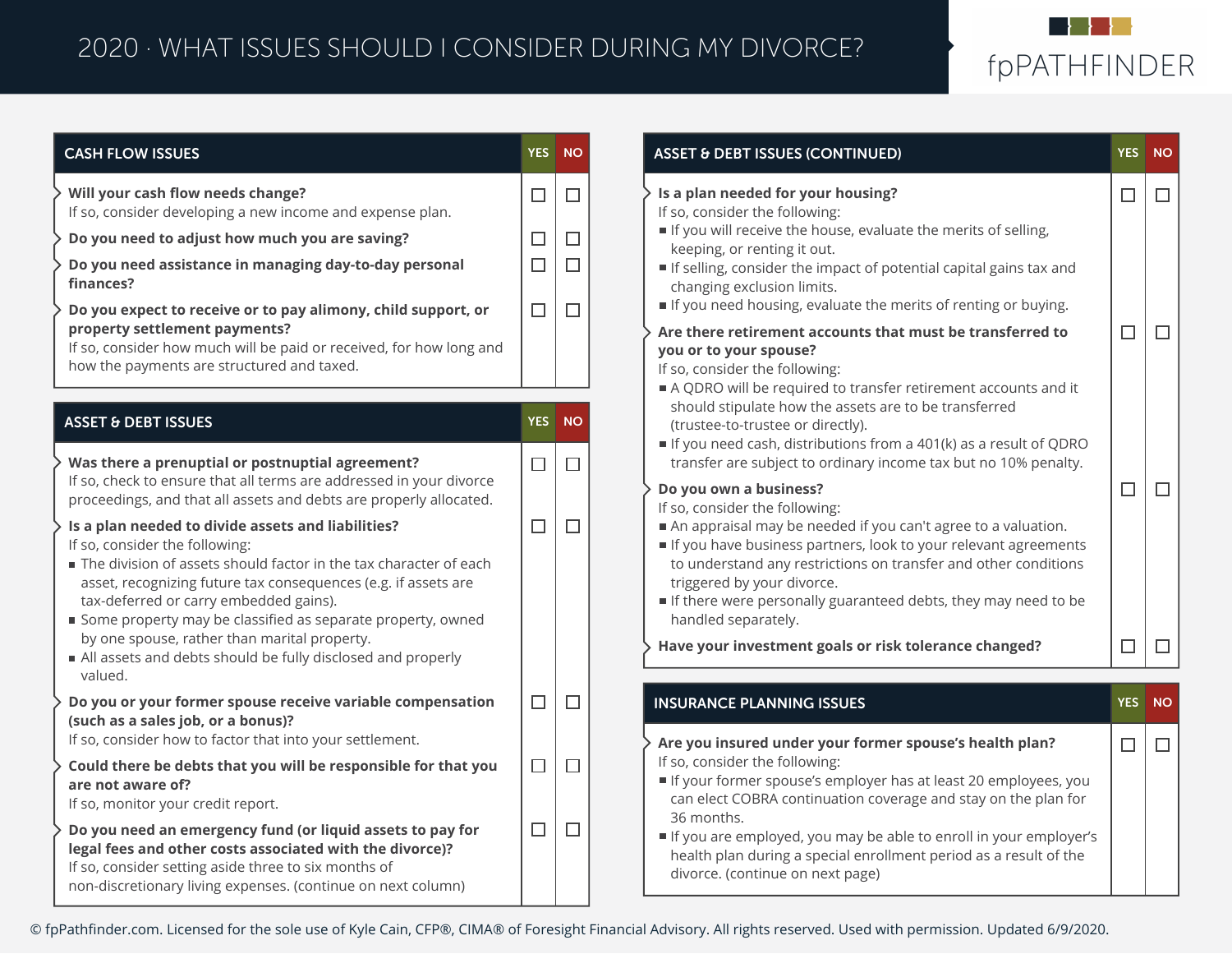## 2020 · WHAT ISSUES SHOULD I CONSIDER DURING MY DIVORCE?



| <b>CASH FLOW ISSUES</b>                                                                                                                                                                                                                                                                                                                                                                                                                                        | <b>YES</b> | <b>NO</b> |
|----------------------------------------------------------------------------------------------------------------------------------------------------------------------------------------------------------------------------------------------------------------------------------------------------------------------------------------------------------------------------------------------------------------------------------------------------------------|------------|-----------|
| Will your cash flow needs change?<br>If so, consider developing a new income and expense plan.                                                                                                                                                                                                                                                                                                                                                                 | $\Box$     | п         |
| Do you need to adjust how much you are saving?                                                                                                                                                                                                                                                                                                                                                                                                                 | П          | П         |
| Do you need assistance in managing day-to-day personal<br>finances?                                                                                                                                                                                                                                                                                                                                                                                            | $\Box$     | П         |
| Do you expect to receive or to pay alimony, child support, or<br>property settlement payments?<br>If so, consider how much will be paid or received, for how long and<br>how the payments are structured and taxed.                                                                                                                                                                                                                                            | п          | П         |
| <b>ASSET &amp; DEBT ISSUES</b>                                                                                                                                                                                                                                                                                                                                                                                                                                 | <b>YES</b> | <b>NO</b> |
| Was there a prenuptial or postnuptial agreement?<br>If so, check to ensure that all terms are addressed in your divorce<br>proceedings, and that all assets and debts are properly allocated.                                                                                                                                                                                                                                                                  | П          | П         |
| Is a plan needed to divide assets and liabilities?<br>If so, consider the following:<br>The division of assets should factor in the tax character of each<br>asset, recognizing future tax consequences (e.g. if assets are<br>tax-deferred or carry embedded gains).<br>Some property may be classified as separate property, owned<br>by one spouse, rather than marital property.<br>All assets and debts should be fully disclosed and properly<br>valued. | п          | П         |
| Do you or your former spouse receive variable compensation<br>(such as a sales job, or a bonus)?<br>If so, consider how to factor that into your settlement.                                                                                                                                                                                                                                                                                                   | $\Box$     | П         |
| Could there be debts that you will be responsible for that you<br>are not aware of?<br>If so, monitor your credit report.                                                                                                                                                                                                                                                                                                                                      | п          | п         |
| Do you need an emergency fund (or liquid assets to pay for<br>legal fees and other costs associated with the divorce)?<br>If so, consider setting aside three to six months of<br>non-discretionary living expenses. (continue on next column)                                                                                                                                                                                                                 | П          | $\Box$    |

| <b>ASSET &amp; DEBT ISSUES (CONTINUED)</b>                                                                                                                                                                                                                                                                                                                                                                                                  | <b>YES</b> | <b>NO</b> |
|---------------------------------------------------------------------------------------------------------------------------------------------------------------------------------------------------------------------------------------------------------------------------------------------------------------------------------------------------------------------------------------------------------------------------------------------|------------|-----------|
| > Is a plan needed for your housing?<br>If so, consider the following:<br>If you will receive the house, evaluate the merits of selling,<br>keeping, or renting it out.<br>If selling, consider the impact of potential capital gains tax and<br>changing exclusion limits.<br>If you need housing, evaluate the merits of renting or buying.                                                                                               |            |           |
| $\rightarrow$ Are there retirement accounts that must be transferred to<br>you or to your spouse?<br>If so, consider the following:<br>A QDRO will be required to transfer retirement accounts and it<br>should stipulate how the assets are to be transferred<br>(trustee-to-trustee or directly).<br>If you need cash, distributions from a 401(k) as a result of QDRO<br>transfer are subject to ordinary income tax but no 10% penalty. | □          |           |
| <b>Do you own a business?</b><br>If so, consider the following:<br>An appraisal may be needed if you can't agree to a valuation.<br>If you have business partners, look to your relevant agreements<br>to understand any restrictions on transfer and other conditions<br>triggered by your divorce.<br>If there were personally guaranteed debts, they may need to be<br>handled separately.                                               | ⊣          |           |
| > Have your investment goals or risk tolerance changed?                                                                                                                                                                                                                                                                                                                                                                                     |            |           |
| <b>INSURANCE PLANNING ISSUES</b>                                                                                                                                                                                                                                                                                                                                                                                                            | <b>YES</b> | <b>NO</b> |
| > Are you insured under your former spouse's health plan?<br>If so, consider the following:<br>If your former spouse's employer has at least 20 employees, you<br>can elect COBRA continuation coverage and stay on the plan for<br>36 months.<br>If you are employed, you may be able to enroll in your employer's<br>health plan during a special enrollment period as a result of the<br>divorce. (continue on next page)                | П          | П         |

© fpPathfinder.com. Licensed for the sole use of Kyle Cain, CFP®, CIMA® of Foresight Financial Advisory. All rights reserved. Used with permission. Updated 6/9/2020.